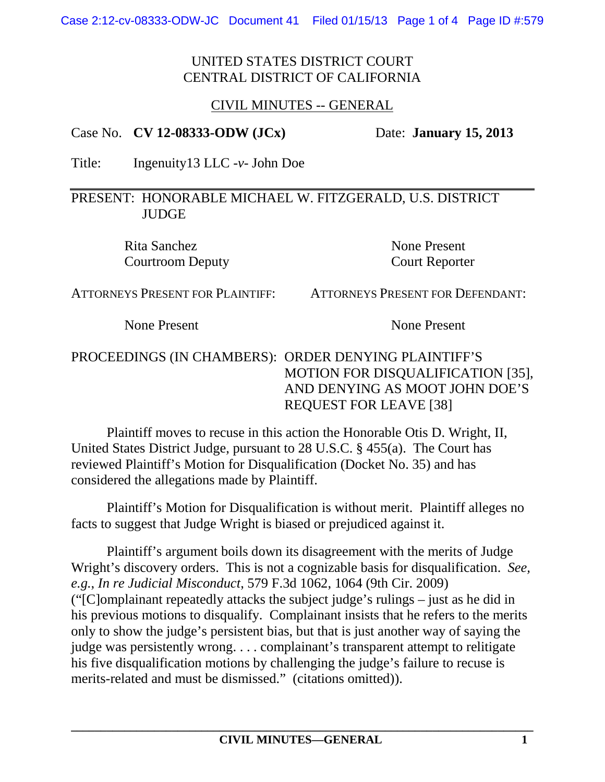## UNITED STATES DISTRICT COURT CENTRAL DISTRICT OF CALIFORNIA

# CIVIL MINUTES -- GENERAL

#### Case No. **CV 12-08333-ODW (JCx)** Date: **January 15, 2013**

Title: Ingenuity13 LLC -*v*- John Doe

#### PRESENT: HONORABLE MICHAEL W. FITZGERALD, U.S. DISTRICT **JUDGE**

Rita Sanchez None Present Courtroom Deputy Court Reporter

ATTORNEYS PRESENT FOR PLAINTIFF: ATTORNEYS PRESENT FOR DEFENDANT:

None Present None Present

# PROCEEDINGS (IN CHAMBERS): ORDER DENYING PLAINTIFF'S MOTION FOR DISQUALIFICATION [35], AND DENYING AS MOOT JOHN DOE'S REQUEST FOR LEAVE [38]

Plaintiff moves to recuse in this action the Honorable Otis D. Wright, II, United States District Judge, pursuant to 28 U.S.C. § 455(a). The Court has reviewed Plaintiff's Motion for Disqualification (Docket No. 35) and has considered the allegations made by Plaintiff.

Plaintiff's Motion for Disqualification is without merit. Plaintiff alleges no facts to suggest that Judge Wright is biased or prejudiced against it.

Plaintiff's argument boils down its disagreement with the merits of Judge Wright's discovery orders. This is not a cognizable basis for disqualification. *See, e.g.*, *In re Judicial Misconduct*, 579 F.3d 1062, 1064 (9th Cir. 2009) ("[C]omplainant repeatedly attacks the subject judge's rulings – just as he did in his previous motions to disqualify. Complainant insists that he refers to the merits only to show the judge's persistent bias, but that is just another way of saying the judge was persistently wrong. . . . complainant's transparent attempt to relitigate his five disqualification motions by challenging the judge's failure to recuse is merits-related and must be dismissed." (citations omitted)).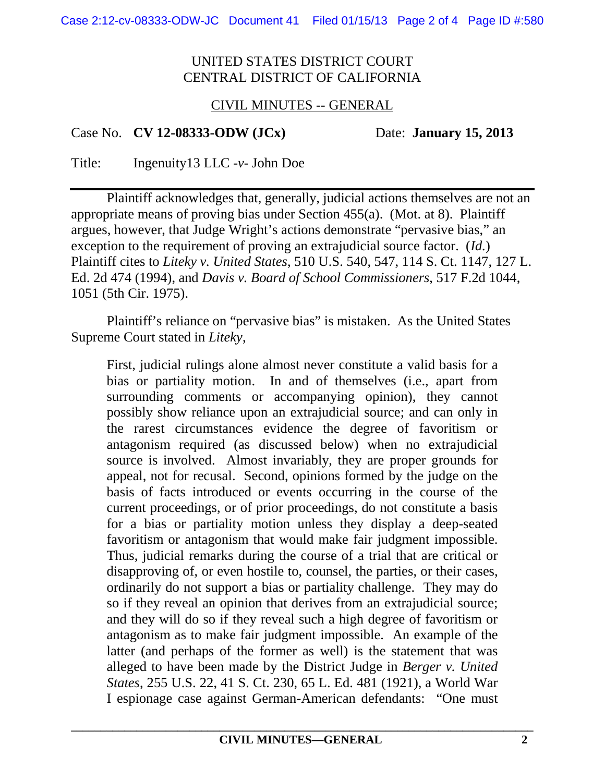### UNITED STATES DISTRICT COURT CENTRAL DISTRICT OF CALIFORNIA

# CIVIL MINUTES -- GENERAL

#### Case No. **CV 12-08333-ODW (JCx)** Date: **January 15, 2013**

Title: Ingenuity13 LLC -*v*- John Doe

Plaintiff acknowledges that, generally, judicial actions themselves are not an appropriate means of proving bias under Section 455(a). (Mot. at 8). Plaintiff argues, however, that Judge Wright's actions demonstrate "pervasive bias," an exception to the requirement of proving an extrajudicial source factor. (*Id.*) Plaintiff cites to *Liteky v. United States*, 510 U.S. 540, 547, 114 S. Ct. 1147, 127 L. Ed. 2d 474 (1994), and *Davis v. Board of School Commissioners*, 517 F.2d 1044, 1051 (5th Cir. 1975).

Plaintiff's reliance on "pervasive bias" is mistaken. As the United States Supreme Court stated in *Liteky*,

First, judicial rulings alone almost never constitute a valid basis for a bias or partiality motion. In and of themselves (i.e., apart from surrounding comments or accompanying opinion), they cannot possibly show reliance upon an extrajudicial source; and can only in the rarest circumstances evidence the degree of favoritism or antagonism required (as discussed below) when no extrajudicial source is involved. Almost invariably, they are proper grounds for appeal, not for recusal. Second, opinions formed by the judge on the basis of facts introduced or events occurring in the course of the current proceedings, or of prior proceedings, do not constitute a basis for a bias or partiality motion unless they display a deep-seated favoritism or antagonism that would make fair judgment impossible. Thus, judicial remarks during the course of a trial that are critical or disapproving of, or even hostile to, counsel, the parties, or their cases, ordinarily do not support a bias or partiality challenge. They may do so if they reveal an opinion that derives from an extrajudicial source; and they will do so if they reveal such a high degree of favoritism or antagonism as to make fair judgment impossible. An example of the latter (and perhaps of the former as well) is the statement that was alleged to have been made by the District Judge in *Berger v. United States*, 255 U.S. 22, 41 S. Ct. 230, 65 L. Ed. 481 (1921), a World War I espionage case against German-American defendants: "One must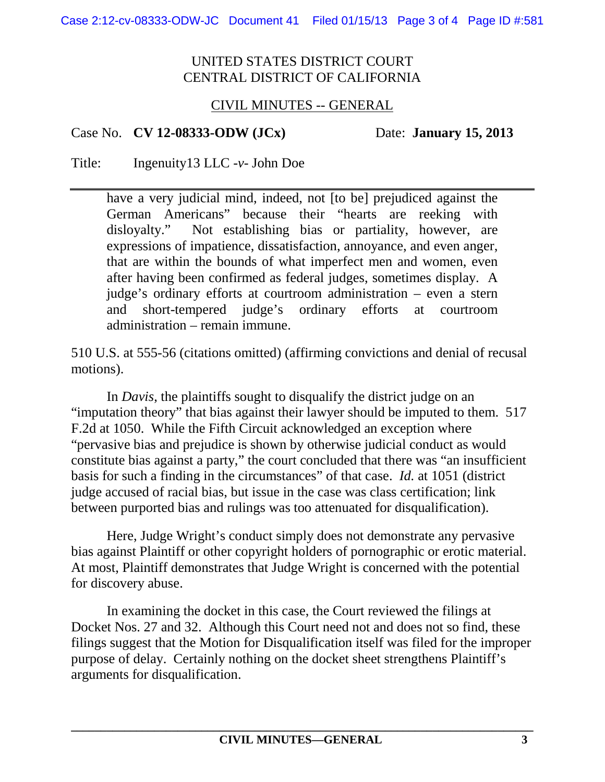## UNITED STATES DISTRICT COURT CENTRAL DISTRICT OF CALIFORNIA

# CIVIL MINUTES -- GENERAL

#### Case No. **CV 12-08333-ODW (JCx)** Date: **January 15, 2013**

Title: Ingenuity13 LLC -*v*- John Doe

have a very judicial mind, indeed, not [to be] prejudiced against the German Americans" because their "hearts are reeking with disloyalty." Not establishing bias or partiality, however, are expressions of impatience, dissatisfaction, annoyance, and even anger, that are within the bounds of what imperfect men and women, even after having been confirmed as federal judges, sometimes display. A judge's ordinary efforts at courtroom administration – even a stern and short-tempered judge's ordinary efforts at courtroom administration – remain immune.

510 U.S. at 555-56 (citations omitted) (affirming convictions and denial of recusal motions).

In *Davis*, the plaintiffs sought to disqualify the district judge on an "imputation theory" that bias against their lawyer should be imputed to them. 517 F.2d at 1050. While the Fifth Circuit acknowledged an exception where "pervasive bias and prejudice is shown by otherwise judicial conduct as would constitute bias against a party," the court concluded that there was "an insufficient basis for such a finding in the circumstances" of that case. *Id.* at 1051 (district judge accused of racial bias, but issue in the case was class certification; link between purported bias and rulings was too attenuated for disqualification).

Here, Judge Wright's conduct simply does not demonstrate any pervasive bias against Plaintiff or other copyright holders of pornographic or erotic material. At most, Plaintiff demonstrates that Judge Wright is concerned with the potential for discovery abuse.

In examining the docket in this case, the Court reviewed the filings at Docket Nos. 27 and 32. Although this Court need not and does not so find, these filings suggest that the Motion for Disqualification itself was filed for the improper purpose of delay. Certainly nothing on the docket sheet strengthens Plaintiff's arguments for disqualification.